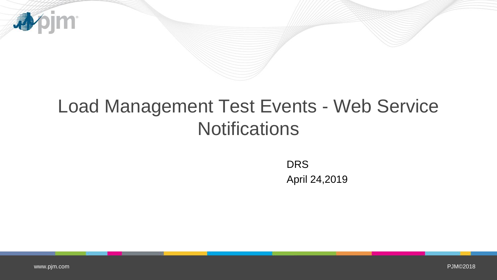

# Load Management Test Events - Web Service **Notifications**

**DRS** April 24,2019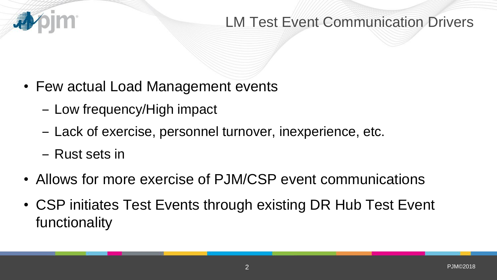

# LM Test Event Communication Drivers

- Few actual Load Management events
	- Low frequency/High impact
	- ‒ Lack of exercise, personnel turnover, inexperience, etc.
	- ‒ Rust sets in
- Allows for more exercise of PJM/CSP event communications
- CSP initiates Test Events through existing DR Hub Test Event functionality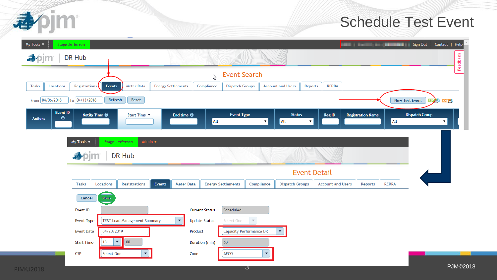

## Schedule Test Event

| My Tools $\blacktriangledown$   | Stage Jefferson      |                                                 |                                                                                                                     |                                      |                         |                                                   |                          |                          | <b>Excess Contract Contract Contract Contract Contract Contract Contract Contract Contract Contract Contract Contract Contract Contract Contract Contract Contract Contract Contract Contract Contract Contract Contract Contrac</b> | Contact   Help                              |
|---------------------------------|----------------------|-------------------------------------------------|---------------------------------------------------------------------------------------------------------------------|--------------------------------------|-------------------------|---------------------------------------------------|--------------------------|--------------------------|--------------------------------------------------------------------------------------------------------------------------------------------------------------------------------------------------------------------------------------|---------------------------------------------|
| <b>尋</b> pjm                    | DR Hub               |                                                 |                                                                                                                     |                                      |                         |                                                   |                          |                          |                                                                                                                                                                                                                                      | Feedback                                    |
|                                 |                      |                                                 |                                                                                                                     | <b>Event Search</b><br>$\mathcal{P}$ |                         |                                                   |                          |                          |                                                                                                                                                                                                                                      |                                             |
| Locations<br>Tasks              | Registrations        | Events<br><b>Meter Data</b>                     | <b>Energy Settlements</b>                                                                                           | Compliance<br><b>Dispatch Groups</b> |                         | <b>Account and Users</b><br>Reports               | <b>RERRA</b>             |                          |                                                                                                                                                                                                                                      |                                             |
| From 04/06/2018                 | To 04/13/2018        | Refresh<br>Reset                                |                                                                                                                     |                                      |                         |                                                   |                          |                          |                                                                                                                                                                                                                                      | New Test Event<br>$CSV = 8$ XML $= 8$       |
| Event ID<br>Θ<br><b>Actions</b> | Notify Time $\Theta$ | Start Time ▼                                    | End time $\Theta$                                                                                                   | <b>Event Type</b><br>All             | $\mathbf{v}$            | <b>Status</b><br>All<br>$\boldsymbol{\mathrm{v}}$ | Reg ID                   | <b>Registration Name</b> | All                                                                                                                                                                                                                                  | <b>Dispatch Group</b><br>$\pmb{\mathrm{v}}$ |
|                                 | My Tools             | Admin $\Psi$<br><b>Stage Jefferson</b>          |                                                                                                                     |                                      |                         |                                                   |                          |                          |                                                                                                                                                                                                                                      |                                             |
|                                 | DR Hub               |                                                 |                                                                                                                     |                                      |                         |                                                   |                          |                          |                                                                                                                                                                                                                                      |                                             |
|                                 | <b>Event Detail</b>  |                                                 |                                                                                                                     |                                      |                         |                                                   |                          |                          |                                                                                                                                                                                                                                      |                                             |
|                                 | Locations<br>Tasks   | Events<br><b>Registrations</b>                  | <b>Meter Data</b>                                                                                                   | <b>Energy Settlements</b>            | Compliance              | <b>Dispatch Groups</b>                            | <b>Account and Users</b> | <b>Reports</b>           | <b>RERRA</b>                                                                                                                                                                                                                         |                                             |
|                                 | Cancel               | Save                                            |                                                                                                                     |                                      |                         |                                                   |                          |                          |                                                                                                                                                                                                                                      |                                             |
|                                 | Event ID             |                                                 | <b>Current Status</b><br>Scheduled<br>$\mathbf{v}$<br>Select One<br><b>Update Status</b><br>$\overline{\mathbf{v}}$ |                                      |                         |                                                   |                          |                          |                                                                                                                                                                                                                                      |                                             |
|                                 | Event Type           | <b>TEST Load Management Summary</b>             |                                                                                                                     |                                      |                         |                                                   |                          |                          |                                                                                                                                                                                                                                      |                                             |
|                                 | <b>Event Date</b>    | 04/20/2019                                      | Product                                                                                                             |                                      | Capacity Performance DR | $\blacktriangledown$                              |                          |                          |                                                                                                                                                                                                                                      |                                             |
|                                 | <b>Start Time</b>    | $\mathbf{v}$<br>$ 00\rangle$<br>13 <sup>°</sup> |                                                                                                                     | 60<br>Duration (min)                 |                         |                                                   |                          |                          |                                                                                                                                                                                                                                      |                                             |
|                                 | <b>CSP</b>           | $\blacktriangledown$<br>Select One              | Zone                                                                                                                | AECO                                 |                         |                                                   |                          |                          |                                                                                                                                                                                                                                      |                                             |
| 102018                          |                      |                                                 |                                                                                                                     |                                      | 3                       |                                                   |                          |                          |                                                                                                                                                                                                                                      | <b>PJM©2018</b>                             |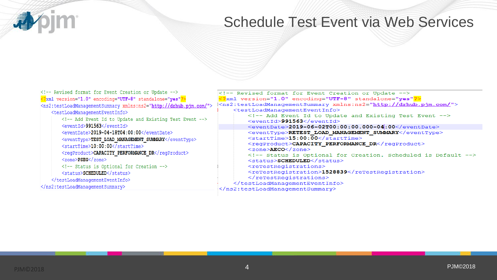# Schedule Test Event via Web Services

| $\leq$ -- Revised format for Event Creation or Update --><br>xml version="1.0" encoding="UTF-8" standalone="yes"?<br><ns2:testloadmanagementsummary xmlns:ns2="http://drhub.pjm.com/"><br/><testloadmanagementeventinfo><br/><!-- Add Event Id to Update and Existing Test Event --></testloadmanagementeventinfo></ns2:testloadmanagementsummary> | Revised format for Event Creation or Update<br>xml version="1.0" encoding="UTF-8" standalone="yes"?<br><ns2:testloadmanagementsummary xmlns:ns2="http://drhub.pjm.com/"><br/><testloadmanagementeventinfo><br/><!-- Add Event Id to Update and Existing Test Event --><br/><eventid>991563</eventid></testloadmanagementeventinfo></ns2:testloadmanagementsummary> |  |  |  |  |  |
|----------------------------------------------------------------------------------------------------------------------------------------------------------------------------------------------------------------------------------------------------------------------------------------------------------------------------------------------------|--------------------------------------------------------------------------------------------------------------------------------------------------------------------------------------------------------------------------------------------------------------------------------------------------------------------------------------------------------------------|--|--|--|--|--|
| <eventid>991563</eventid><br><eventdate>2019-04-18T04:00:00</eventdate><br><eventtype>TEST LOAD MANAGEMENT SUMMARY</eventtype><br><starttime>10:00:00</starttime><br><regproduct>CAPACITY PERFORMANCE DR</regproduct><br>$\langle$ zone> $PSEG<$ /zone>                                                                                            | $\le$ eventDate>2019-06-02T00:00:00.000-04:00<br><eventtype>RETEST_LOAD_MANAGEMENT_SUMMARY</eventtype><br><starttime>15:00:00</starttime><br><regproduct>CAPACITY PERFORMANCE DR</regproduct><br>$<$ zone $>$ AECO $<$ /zone $>$<br>Status is Optional for Creation. Scheduled is Default<br><status>SCHEDULED</status>                                            |  |  |  |  |  |
| Status is Optional for Creation<br><status>SCHEDULED</status><br><br>                                                                                                                                                                                                                                                                              | <retestregistrations><br/><retestregistration>1528839</retestregistration><br/></retestregistrations><br><br>                                                                                                                                                                                                                                                      |  |  |  |  |  |

尋

pjm: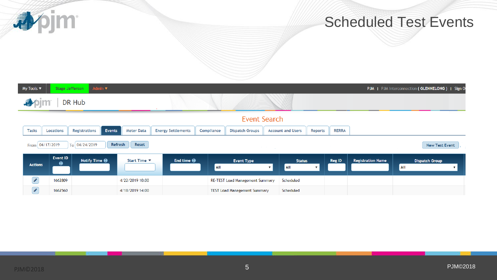**小心** 

# Scheduled Test Events

| Admin $\Psi$<br>My Tools $\blacktriangledown$<br>PJM   PJM Interconnection (GLENNELONG)   Sign O<br>Stage Jefferson                                                                                                                                                                                                                                 |                                                                  |                      |                  |                           |            |                                        |                                                            |              |        |                          |     |                       |  |
|-----------------------------------------------------------------------------------------------------------------------------------------------------------------------------------------------------------------------------------------------------------------------------------------------------------------------------------------------------|------------------------------------------------------------------|----------------------|------------------|---------------------------|------------|----------------------------------------|------------------------------------------------------------|--------------|--------|--------------------------|-----|-----------------------|--|
|                                                                                                                                                                                                                                                                                                                                                     |                                                                  | DR Hub               |                  |                           |            |                                        |                                                            |              |        |                          |     |                       |  |
| Event Search                                                                                                                                                                                                                                                                                                                                        |                                                                  |                      |                  |                           |            |                                        |                                                            |              |        |                          |     |                       |  |
| <b>Tasks</b>                                                                                                                                                                                                                                                                                                                                        | Events<br><b>Registrations</b><br><b>Meter Data</b><br>Locations |                      |                  | <b>Energy Settlements</b> | Compliance | <b>Dispatch Groups</b>                 | <b>RERRA</b><br><b>Account and Users</b><br><b>Reports</b> |              |        |                          |     |                       |  |
|                                                                                                                                                                                                                                                                                                                                                     | From 04/17/2019                                                  | To 04/24/2019        | Reset<br>Refresh |                           |            | <b>Contract Contract</b>               | <b>New Test Event</b>                                      |              |        |                          |     |                       |  |
| <b>Actions</b>                                                                                                                                                                                                                                                                                                                                      | Event ID<br>$\bullet$                                            | Notify Time $\Theta$ | Start Time ▼     | End time $\Theta$         | All        | <b>Event Type</b>                      | <b>Status</b><br><b>All</b><br>$\mathbf{v}$                | $\mathbf{v}$ | Reg ID | <b>Registration Name</b> | All | <b>Dispatch Group</b> |  |
| $\begin{picture}(20,20) \put(0,0){\line(1,0){10}} \put(15,0){\line(1,0){10}} \put(15,0){\line(1,0){10}} \put(15,0){\line(1,0){10}} \put(15,0){\line(1,0){10}} \put(15,0){\line(1,0){10}} \put(15,0){\line(1,0){10}} \put(15,0){\line(1,0){10}} \put(15,0){\line(1,0){10}} \put(15,0){\line(1,0){10}} \put(15,0){\line(1,0){10}} \put(15,0){\line(1$ | 1662809                                                          |                      | 4/22/2019 10:00  |                           |            | <b>RE-TEST Load Management Summary</b> | Scheduled                                                  |              |        |                          |     |                       |  |
| $\overline{\mathscr{P}}$                                                                                                                                                                                                                                                                                                                            | 1662560                                                          |                      | 4/18/2019 14:00  |                           |            | <b>TEST Load Management Summary</b>    | Scheduled                                                  |              |        |                          |     |                       |  |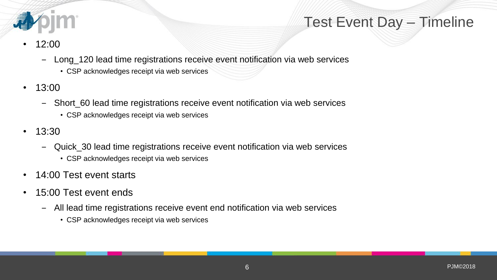

# Test Event Day – Timeline

- 12:00
	- ‒ Long\_120 lead time registrations receive event notification via web services
		- CSP acknowledges receipt via web services
- 13:00
	- ‒ Short\_60 lead time registrations receive event notification via web services
		- CSP acknowledges receipt via web services
- 13:30
	- ‒ Quick\_30 lead time registrations receive event notification via web services
		- CSP acknowledges receipt via web services
- 14:00 Test event starts
- 15:00 Test event ends
	- ‒ All lead time registrations receive event end notification via web services
		- CSP acknowledges receipt via web services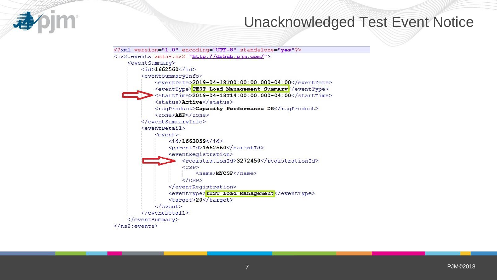

#### Unacknowledged Test Event Notice

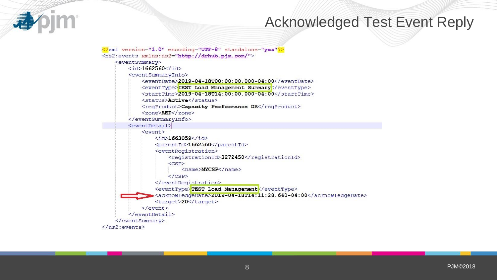

#### Acknowledged Test Event Reply

<?xml version="1.0" encoding="UTF-8" standalone="yes"?> <ns2:events xmlns:ns2="http://drhub.pjm.com/">  $\leq$  event Summary>  $\langle$ id>1662560</id> <eventSummaryInfo> <eventDate>2019-04-18T00:00:00.000-04:00</eventDate> <eventType>TEST Load Management Summary</eventType> <startTime>2019-04-18T14:00:00.000-04:00</startTime> <status>Active</status> <regProduct>Capacity Performance DR</regProduct> <zone>AEP</zone> </eventSummarvInfo>  $<$ eventDetail>  $<$ event $>$  $\langle$ id>1663059 $\langle$ id> <parentId>1662560</parentId> <eventRegistration> <registrationId>3272450</registrationId>  $\langle CSP\rangle$  $\langle$ name $\rangle$ MYCSP $\langle$ /name $\rangle$  $\langle$ /CSP> </eventRegistration> <eventType>TEST Load Management</eventType> <acknowledgeDate>2019-04-18T14:11:28.640-04:00</acknowledgeDate> <target>20</target>  $\langle$ /event>  $\langle$ /eventDetail> </eventSummary>  $\langle$ /ns2:events>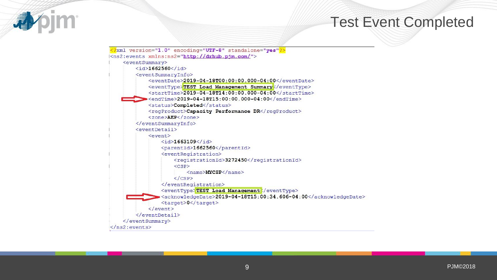#### Test Event Completed



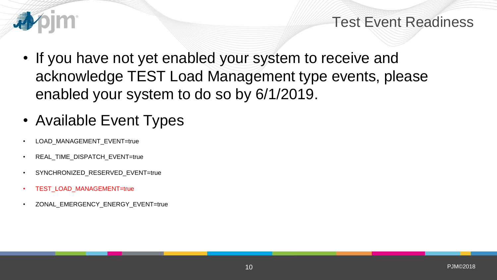

#### Test Event Readiness

- If you have not yet enabled your system to receive and acknowledge TEST Load Management type events, please enabled your system to do so by 6/1/2019.
- Available Event Types
- LOAD MANAGEMENT EVENT=true
- REAL TIME DISPATCH EVENT=true
- SYNCHRONIZED\_RESERVED\_EVENT=true
- TEST\_LOAD\_MANAGEMENT=true
- ZONAL EMERGENCY ENERGY EVENT=true